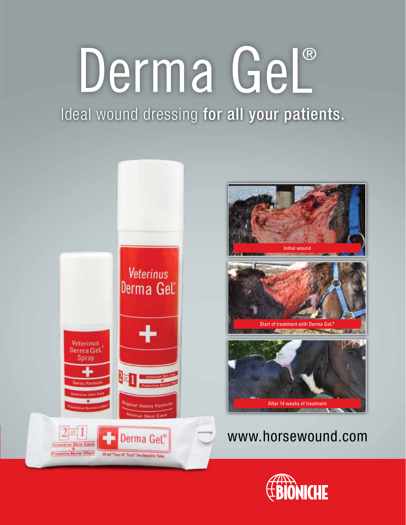# Derma GeL®

Ideal wound dressing for all your patients.



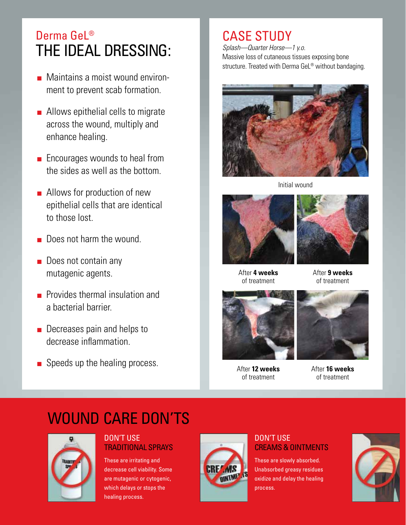# Derma Gel<sup>®</sup> The Ideal Dressing:

- Maintains a moist wound environment to prevent scab formation.
- Allows epithelial cells to migrate across the wound, multiply and enhance healing.
- Encourages wounds to heal from the sides as well as the bottom.
- Allows for production of new epithelial cells that are identical to those lost.
- Does not harm the wound.
- Does not contain any mutagenic agents.
- Provides thermal insulation and a bacterial barrier.
- Decreases pain and helps to decrease inflammation.
- Speeds up the healing process.

# CASE STUDY

*Splash—Quarter Horse—1 y.o.*  Massive loss of cutaneous tissues exposing bone structure. Treated with Derma GeL<sup>®</sup> without bandaging.



Initial wound



After **4 weeks** of treatment



After **9 weeks** of treatment



After **12 weeks** of treatment



After **16 weeks**  of treatment

# WOUND CARE DON'TS



#### DON'T USE TRADITIONAL SPRAYS

These are irritating and decrease cell viability. Some are mutagenic or cytogenic, which delays or stops the healing process.



#### DON'T USE CREAMS & OINTMENTS

These are slowly absorbed. Unabsorbed greasy residues oxidize and delay the healing process.

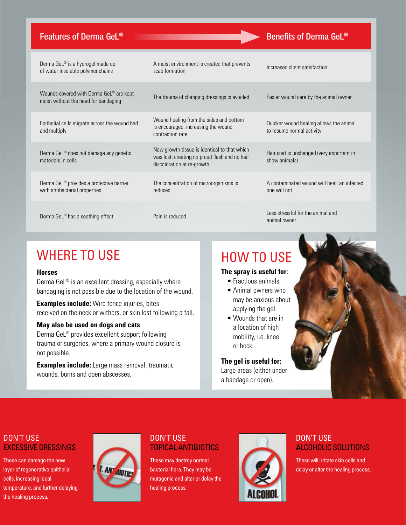#### Features of Derma GeL<sup>®</sup> Benefits of Derma GeL<sup>®</sup>

| Derma GeL <sup>®</sup> is a hydrogel made up<br>of water insoluble polymer chains           | A moist environment is created that prevents<br>scab formation                                                              | Increased client satisfaction                                        |
|---------------------------------------------------------------------------------------------|-----------------------------------------------------------------------------------------------------------------------------|----------------------------------------------------------------------|
| Wounds covered with Derma GeL <sup>®</sup> are kept<br>moist without the need for bandaging | The trauma of changing dressings is avoided                                                                                 | Easier wound care by the animal owner                                |
| Epithelial cells migrate across the wound bed<br>and multiply                               | Wound healing from the sides and bottom<br>is encouraged, increasing the wound<br>contraction rate                          | Quicker wound healing allows the animal<br>to resume normal activity |
| Derma GeL® does not damage any genetic<br>materials in cells                                | New growth tissue is identical to that which<br>was lost, creating no proud flesh and no hair<br>discoloration at re-growth | Hair coat is unchanged (very important in<br>show animals)           |
| Derma GeL <sup>®</sup> provides a protective barrier<br>with antibacterial properties       | The concentration of microorganisms is<br>reduced                                                                           | A contaminated wound will heal; an infected<br>one will not          |
| Derma GeL <sup>®</sup> has a soothing effect                                                | Pain is reduced                                                                                                             | Less stressful for the animal and<br>animal owner                    |

## WHERE TO USE

#### **Horses**

Derma GeL® is an excellent dressing, especially where bandaging is not possible due to the location of the wound.

**Examples include:** Wire fence injuries, bites received on the neck or withers, or skin lost following a fall.

#### **May also be used on dogs and cats**

Derma GeL® provides excellent support following trauma or surgeries, where a primary wound closure is not possible.

**Examples include:** Large mass removal, traumatic wounds, burns and open abscesses.

### How to use

#### **The spray is useful for:**

- Fractious animals.
- Animal owners who may be anxious about applying the gel.
- Wounds that are in a location of high mobility, i.e. knee or hock.

**The gel is useful for:** Large areas (either under a bandage or open).

#### DON'T USE EXCESSIVE DRESSINGS

These can damage the new layer of regenerative epithelial cells, increasing local temperature, and further delaying the healing process.



#### DON'T USE TOPICAL ANTIBIOTICS

These may destroy normal bacterial flora. They may be mutagenic and alter or delay the healing process.



#### DON'T USE ALCOHOLIC SOLUTIONS

These will irritate skin cells and delay or alter the healing process.